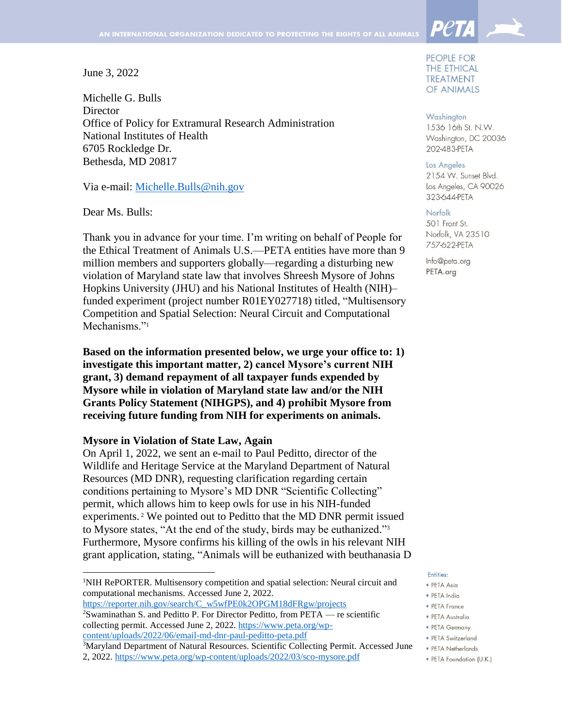June 3, 2022

Michelle G. Bulls **Director** Office of Policy for Extramural Research Administration National Institutes of Health 6705 Rockledge Dr. Bethesda, MD 20817

Via e-mail: [Michelle.Bulls@nih.gov](mailto:Michelle.Bulls@nih.gov) 

Dear Ms. Bulls:

 $\overline{a}$ 

Thank you in advance for your time. I'm writing on behalf of People for the Ethical Treatment of Animals U.S.—PETA entities have more than 9 million members and supporters globally—regarding a disturbing new violation of Maryland state law that involves Shreesh Mysore of Johns Hopkins University (JHU) and his National Institutes of Health (NIH)– funded experiment (project number R01EY027718) titled, "Multisensory Competition and Spatial Selection: Neural Circuit and Computational Mechanisms."<sup>1</sup>

**Based on the information presented below, we urge your office to: 1) investigate this important matter, 2) cancel Mysore's current NIH grant, 3) demand repayment of all taxpayer funds expended by Mysore while in violation of Maryland state law and/or the NIH Grants Policy Statement (NIHGPS), and 4) prohibit Mysore from receiving future funding from NIH for experiments on animals.**

## **Mysore in Violation of State Law, Again**

On April 1, 2022, we sent an e-mail to Paul Peditto, director of the Wildlife and Heritage Service at the Maryland Department of Natural Resources (MD DNR), requesting clarification regarding certain conditions pertaining to Mysore's MD DNR "Scientific Collecting" permit, which allows him to keep owls for use in his NIH-funded experiments. <sup>2</sup> We pointed out to Peditto that the MD DNR permit issued to Mysore states, "At the end of the study, birds may be euthanized." 3 Furthermore, Mysore confirms his killing of the owls in his relevant NIH grant application, stating, "Animals will be euthanized with beuthanasia D

<sup>1</sup>NIH RePORTER. Multisensory competition and spatial selection: Neural circuit and computational mechanisms. Accessed June 2, 2022.

[https://reporter.nih.gov/search/C\\_w5wfPE0k2OPGM18dFRgw/projects](https://reporter.nih.gov/search/C_w5wfPE0k2OPGM18dFRgw/projects) <sup>2</sup>Swaminathan S. and Peditto P. For Director Peditto, from PETA — re scientific

2, 2022. <https://www.peta.org/wp-content/uploads/2022/03/sco-mysore.pdf>

PEOPLE FOR **THE ETHICAL TREATMENT** OF ANIMALS

**PetA** 

Washington 1536 16th St. N.W. Washington, DC 20036 202-483-PETA

#### Los Angeles

2154 W. Sunset Blvd. Los Angeles, CA 90026 323-644-PETA

### Norfolk

501 Front St. Norfolk, VA 23510 757-622-PETA

Info@peta.org PETA.org

#### Entities:

- · PETA Asia
- · PETA India
- PETA France
- · PETA Australia
- PFTA Germany
- · PETA Switzerland
- PETA Netherlands
- · PETA Foundation (U.K.)

collecting permit. Accessed June 2, 2022. [https://www.peta.org/wp](https://www.peta.org/wp-content/uploads/2022/06/email-md-dnr-paul-peditto-peta.pdf)[content/uploads/2022/06/email-md-dnr-paul-peditto-peta.pdf](https://www.peta.org/wp-content/uploads/2022/06/email-md-dnr-paul-peditto-peta.pdf)

<sup>&</sup>lt;sup>3</sup>Maryland Department of Natural Resources. Scientific Collecting Permit. Accessed June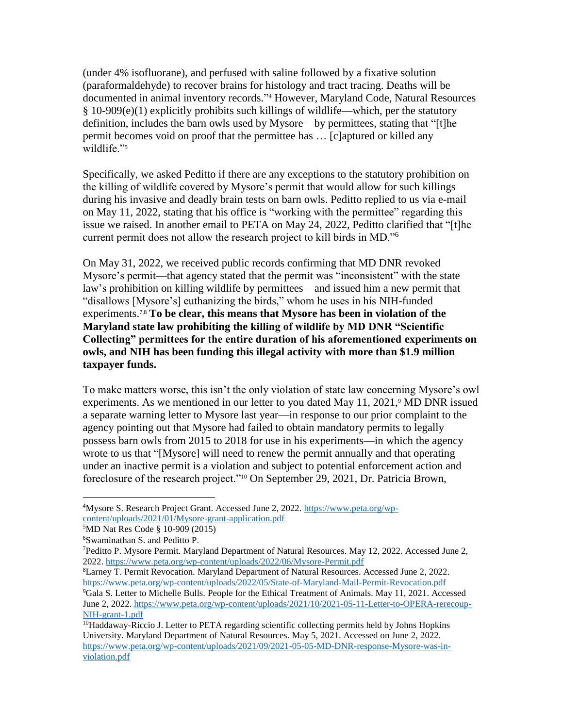(under 4% isofluorane), and perfused with saline followed by a fixative solution (paraformaldehyde) to recover brains for histology and tract tracing. Deaths will be documented in animal inventory records." <sup>4</sup> However, Maryland Code, Natural Resources  $§$  10-909(e)(1) explicitly prohibits such killings of wildlife—which, per the statutory definition, includes the barn owls used by Mysore—by permittees, stating that "[t]he permit becomes void on proof that the permittee has … [c]aptured or killed any wildlife."<sup>5</sup>

Specifically, we asked Peditto if there are any exceptions to the statutory prohibition on the killing of wildlife covered by Mysore's permit that would allow for such killings during his invasive and deadly brain tests on barn owls. Peditto replied to us via e-mail on May 11, 2022, stating that his office is "working with the permittee" regarding this issue we raised. In another email to PETA on May 24, 2022, Peditto clarified that "[t]he current permit does not allow the research project to kill birds in MD."<sup>6</sup>

On May 31, 2022, we received public records confirming that MD DNR revoked Mysore's permit—that agency stated that the permit was "inconsistent" with the state law's prohibition on killing wildlife by permittees—and issued him a new permit that "disallows [Mysore's] euthanizing the birds," whom he uses in his NIH-funded experiments. 7,8 **To be clear, this means that Mysore has been in violation of the Maryland state law prohibiting the killing of wildlife by MD DNR "Scientific Collecting" permittees for the entire duration of his aforementioned experiments on owls, and NIH has been funding this illegal activity with more than \$1.9 million taxpayer funds.** 

To make matters worse, this isn't the only violation of state law concerning Mysore's owl experiments. As we mentioned in our letter to you dated May 11, 2021,<sup>9</sup> MD DNR issued a separate warning letter to Mysore last year—in response to our prior complaint to the agency pointing out that Mysore had failed to obtain mandatory permits to legally possess barn owls from 2015 to 2018 for use in his experiments—in which the agency wrote to us that "[Mysore] will need to renew the permit annually and that operating under an inactive permit is a violation and subject to potential enforcement action and foreclosure of the research project."<sup>10</sup> On September 29, 2021, Dr. Patricia Brown,

<sup>8</sup>Larney T. Permit Revocation. Maryland Department of Natural Resources. Accessed June 2, 2022. <https://www.peta.org/wp-content/uploads/2022/05/State-of-Maryland-Mail-Permit-Revocation.pdf> <sup>9</sup>Gala S. Letter to Michelle Bulls. People for the Ethical Treatment of Animals. May 11, 2021. Accessed June 2, 2022. [https://www.peta.org/wp-content/uploads/2021/10/2021-05-11-Letter-to-OPERA-rerecoup-](https://www.peta.org/wp-content/uploads/2021/10/2021-05-11-Letter-to-OPERA-rerecoup-NIH-grant-1.pdf)[NIH-grant-1.pdf](https://www.peta.org/wp-content/uploads/2021/10/2021-05-11-Letter-to-OPERA-rerecoup-NIH-grant-1.pdf)

 $\overline{\phantom{a}}$ <sup>4</sup>Mysore S. Research Project Grant. Accessed June 2, 2022. [https://www.peta.org/wp](https://www.peta.org/wp-content/uploads/2021/01/Mysore-grant-application.pdf)[content/uploads/2021/01/Mysore-grant-application.pdf](https://www.peta.org/wp-content/uploads/2021/01/Mysore-grant-application.pdf)

<sup>5</sup>MD Nat Res Code § 10-909 (2015)

<sup>6</sup>Swaminathan S. and Peditto P.

<sup>7</sup>Peditto P. Mysore Permit. Maryland Department of Natural Resources. May 12, 2022. Accessed June 2, 2022.<https://www.peta.org/wp-content/uploads/2022/06/Mysore-Permit.pdf>

<sup>&</sup>lt;sup>10</sup>Haddaway-Riccio J. Letter to PETA regarding scientific collecting permits held by Johns Hopkins University. Maryland Department of Natural Resources. May 5, 2021. Accessed on June 2, 2022. [https://www.peta.org/wp-content/uploads/2021/09/2021-05-05-MD-DNR-response-Mysore-was-in](https://www.peta.org/wp-content/uploads/2021/09/2021-05-05-MD-DNR-response-Mysore-was-in-violation.pdf)[violation.pdf](https://www.peta.org/wp-content/uploads/2021/09/2021-05-05-MD-DNR-response-Mysore-was-in-violation.pdf)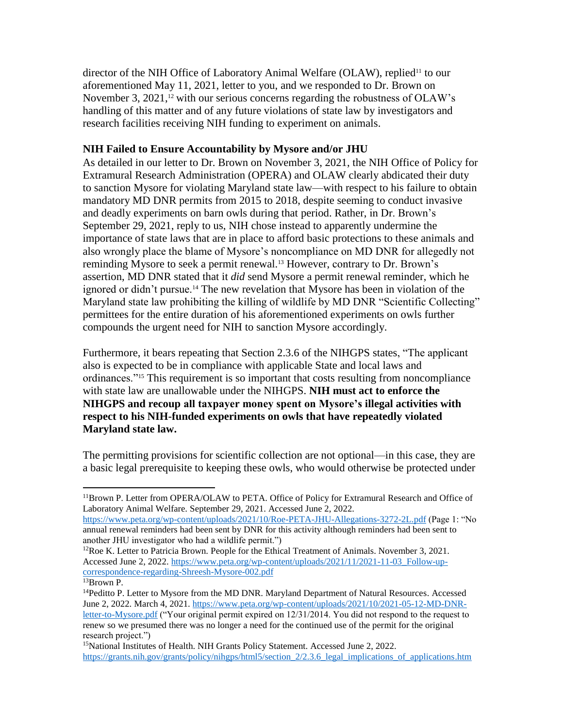director of the NIH Office of Laboratory Animal Welfare (OLAW), replied<sup>11</sup> to our aforementioned May 11, 2021, letter to you, and we responded to Dr. Brown on November 3, 2021,<sup>12</sup> with our serious concerns regarding the robustness of OLAW's handling of this matter and of any future violations of state law by investigators and research facilities receiving NIH funding to experiment on animals.

# **NIH Failed to Ensure Accountability by Mysore and/or JHU**

As detailed in our letter to Dr. Brown on November 3, 2021, the NIH Office of Policy for Extramural Research Administration (OPERA) and OLAW clearly abdicated their duty to sanction Mysore for violating Maryland state law—with respect to his failure to obtain mandatory MD DNR permits from 2015 to 2018, despite seeming to conduct invasive and deadly experiments on barn owls during that period. Rather, in Dr. Brown's September 29, 2021, reply to us, NIH chose instead to apparently undermine the importance of state laws that are in place to afford basic protections to these animals and also wrongly place the blame of Mysore's noncompliance on MD DNR for allegedly not reminding Mysore to seek a permit renewal. <sup>13</sup> However, contrary to Dr. Brown's assertion, MD DNR stated that it *did* send Mysore a permit renewal reminder, which he ignored or didn't pursue.<sup>14</sup> The new revelation that Mysore has been in violation of the Maryland state law prohibiting the killing of wildlife by MD DNR "Scientific Collecting" permittees for the entire duration of his aforementioned experiments on owls further compounds the urgent need for NIH to sanction Mysore accordingly.

Furthermore, it bears repeating that Section 2.3.6 of the NIHGPS states, "The applicant also is expected to be in compliance with applicable State and local laws and ordinances."<sup>15</sup> This requirement is so important that costs resulting from noncompliance with state law are unallowable under the NIHGPS. **NIH must act to enforce the NIHGPS and recoup all taxpayer money spent on Mysore's illegal activities with respect to his NIH-funded experiments on owls that have repeatedly violated Maryland state law.**

The permitting provisions for scientific collection are not optional—in this case, they are a basic legal prerequisite to keeping these owls, who would otherwise be protected under

<https://www.peta.org/wp-content/uploads/2021/10/Roe-PETA-JHU-Allegations-3272-2L.pdf> (Page 1: "No annual renewal reminders had been sent by DNR for this activity although reminders had been sent to another JHU investigator who had a wildlife permit.")

 $\overline{\phantom{a}}$ <sup>11</sup>Brown P. Letter from OPERA/OLAW to PETA. Office of Policy for Extramural Research and Office of Laboratory Animal Welfare. September 29, 2021. Accessed June 2, 2022.

 $12Roe K$ . Letter to Patricia Brown. People for the Ethical Treatment of Animals. November 3, 2021. Accessed June 2, 2022. [https://www.peta.org/wp-content/uploads/2021/11/2021-11-03\\_Follow-up](https://www.peta.org/wp-content/uploads/2021/11/2021-11-03_Follow-up-correspondence-regarding-Shreesh-Mysore-002.pdf)[correspondence-regarding-Shreesh-Mysore-002.pdf](https://www.peta.org/wp-content/uploads/2021/11/2021-11-03_Follow-up-correspondence-regarding-Shreesh-Mysore-002.pdf)

<sup>13</sup>Brown P.

<sup>&</sup>lt;sup>14</sup>Peditto P. Letter to Mysore from the MD DNR. Maryland Department of Natural Resources. Accessed June 2, 2022. March 4, 2021. [https://www.peta.org/wp-content/uploads/2021/10/2021-05-12-MD-DNR](https://www.peta.org/wp-content/uploads/2021/10/2021-05-12-MD-DNR-letter-to-Mysore.pdf)[letter-to-Mysore.pdf](https://www.peta.org/wp-content/uploads/2021/10/2021-05-12-MD-DNR-letter-to-Mysore.pdf) ("Your original permit expired on 12/31/2014. You did not respond to the request to renew so we presumed there was no longer a need for the continued use of the permit for the original research project.")

<sup>&</sup>lt;sup>15</sup>National Institutes of Health. NIH Grants Policy Statement. Accessed June 2, 2022. https://grants.nih.gov/grants/policy/nihgps/html5/section 2/2.3.6 legal implications of applications.htm